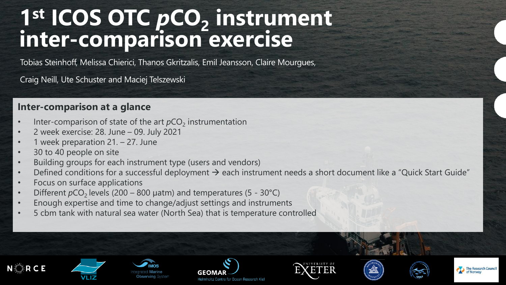# **1 st ICOS OTC** *p***CO<sup>2</sup> instrument inter-comparison exercise**

Tobias Steinhoff, Melissa Chierici, Thanos Gkritzalis, Emil Jeansson, Claire Mourgues,

Craig Neill, Ute Schuster and Maciej Telszewski

### **Inter-comparison at a glance**

- Inter-comparison of state of the art  $pCO_2$  instrumentation
- 2 week exercise: 28. June 09. July 2021
- 1 week preparation 21. 27. June
- 30 to 40 people on site

N**RCE** 

- Building groups for each instrument type (users and vendors)
- Defined conditions for a successful deployment  $\rightarrow$  each instrument needs a short document like a "Quick Start Guide"
- Focus on surface applications
- Different  $pCO<sub>2</sub>$  levels (200 800  $\mu$ atm) and temperatures (5 30°C)
- Enough expertise and time to change/adjust settings and instruments
- 5 cbm tank with natural sea water (North Sea) that is temperature controlled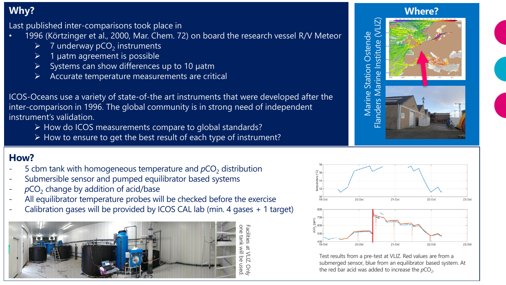# **Why?**

Last published inter-comparisons took place in

- 1996 (Körtzinger et al., 2000, Mar. Chem. 72) on board the research vessel R/V Meteor
	- $\geq$  7 underway pCO<sub>2</sub> instruments
	- ➢ 1 µatm agreement is possible
	- Systems can show differences up to 10 µatm
	- ➢ Accurate temperature measurements are critical

ICOS-Oceans use a variety of state-of-the art instruments that were developed after the inter-comparison in 1996. The global community is in strong need of independent instrument's validation.

- ➢ How do ICOS measurements compare to global standards?
- ➢ How to ensure to get the best result of each type of instrument?

## **How?**

- 5 cbm tank with homogeneous temperature and  $pCO<sub>2</sub>$  distribution
- Submersible sensor and pumped equilibrator based systems
- $pCO<sub>2</sub>$  change by addition of acid/base
- All equilibrator temperature probes will be checked before the exercise
- Calibration gases will be provided by ICOS CAL lab (min. 4 gases + 1 target)









Test results from a pre-test at VLIZ. Red values are from a submerged sensor, blue from an equilibrator based system. At the red bar acid was added to increase the  $pCO<sub>2</sub>$ .